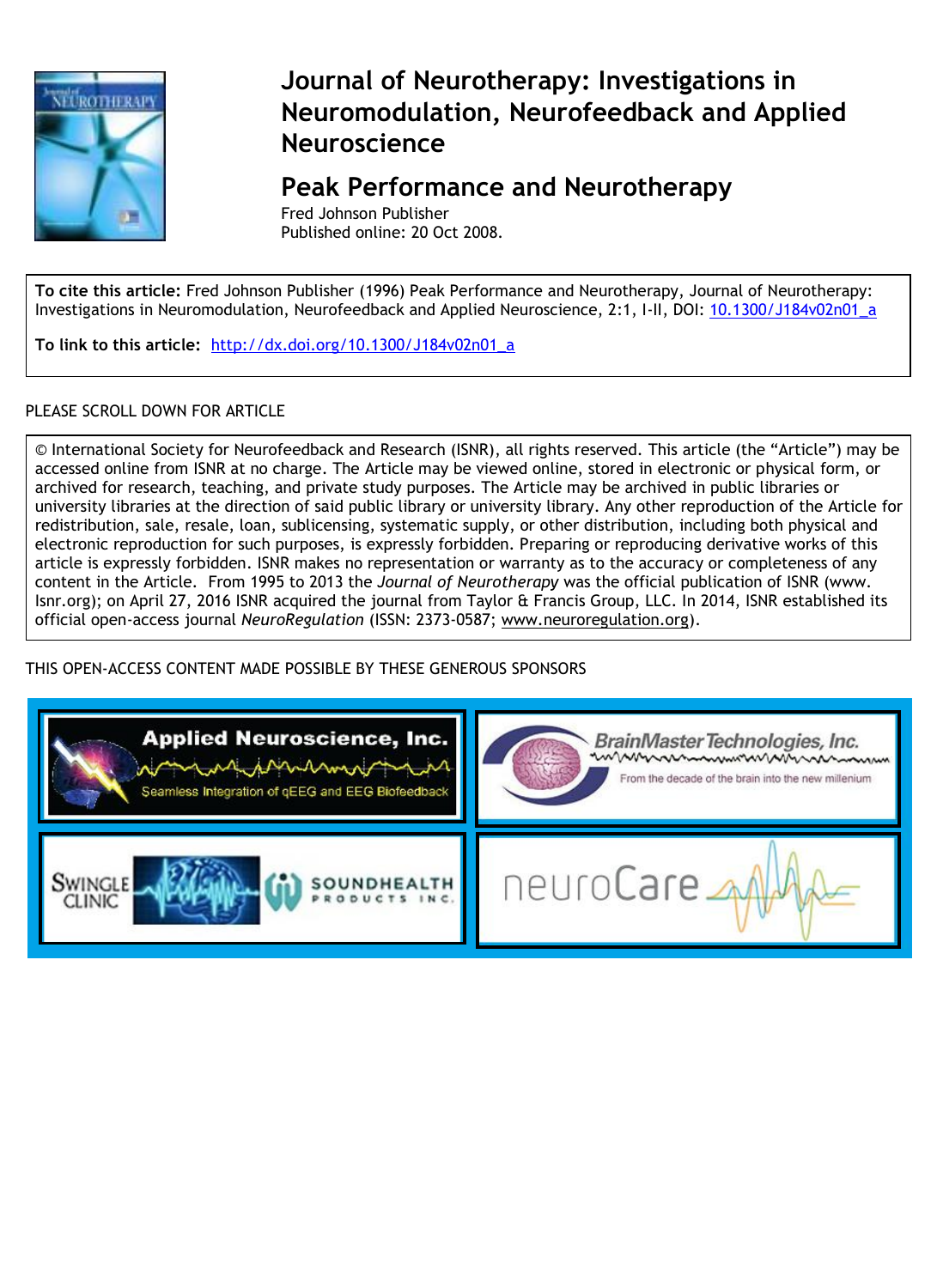

## **Journal of Neurotherapy: Investigations in Neuromodulation, Neurofeedback and Applied Neuroscience**

### **Peak Performance and Neurotherapy**

Fred Johnson Publisher Published online: 20 Oct 2008.

**To cite this article:** Fred Johnson Publisher (1996) Peak Performance and Neurotherapy, Journal of Neurotherapy: Investigations in Neuromodulation, Neurofeedback and Applied Neuroscience, 2:1, I-II, DOI: 10.1300/J184v02n01\_a

**To link to this article:** [http://dx.doi.org/10.1300/J184v02n01\\_a](http://dx.doi.org/10.1300/J184v02n01_a)

#### PLEASE SCROLL DOWN FOR ARTICLE

© International Society for Neurofeedback and Research (ISNR), all rights reserved. This article (the "Article") may be accessed online from ISNR at no charge. The Article may be viewed online, stored in electronic or physical form, or archived for research, teaching, and private study purposes. The Article may be archived in public libraries or university libraries at the direction of said public library or university library. Any other reproduction of the Article for redistribution, sale, resale, loan, sublicensing, systematic supply, or other distribution, including both physical and electronic reproduction for such purposes, is expressly forbidden. Preparing or reproducing derivative works of this article is expressly forbidden. ISNR makes no representation or warranty as to the accuracy or completeness of any content in the Article. From 1995 to 2013 the *Journal of Neurotherapy* was the official publication of ISNR (www. Isnr.org); on April 27, 2016 ISNR acquired the journal from Taylor & Francis Group, LLC. In 2014, ISNR established its official open-access journal *NeuroRegulation* (ISSN: 2373-0587; [www.neuroregulation.org\)](http://www.neuroregulation.org/).

THIS OPEN-ACCESS CONTENT MADE POSSIBLE BY THESE GENEROUS SPONSORS

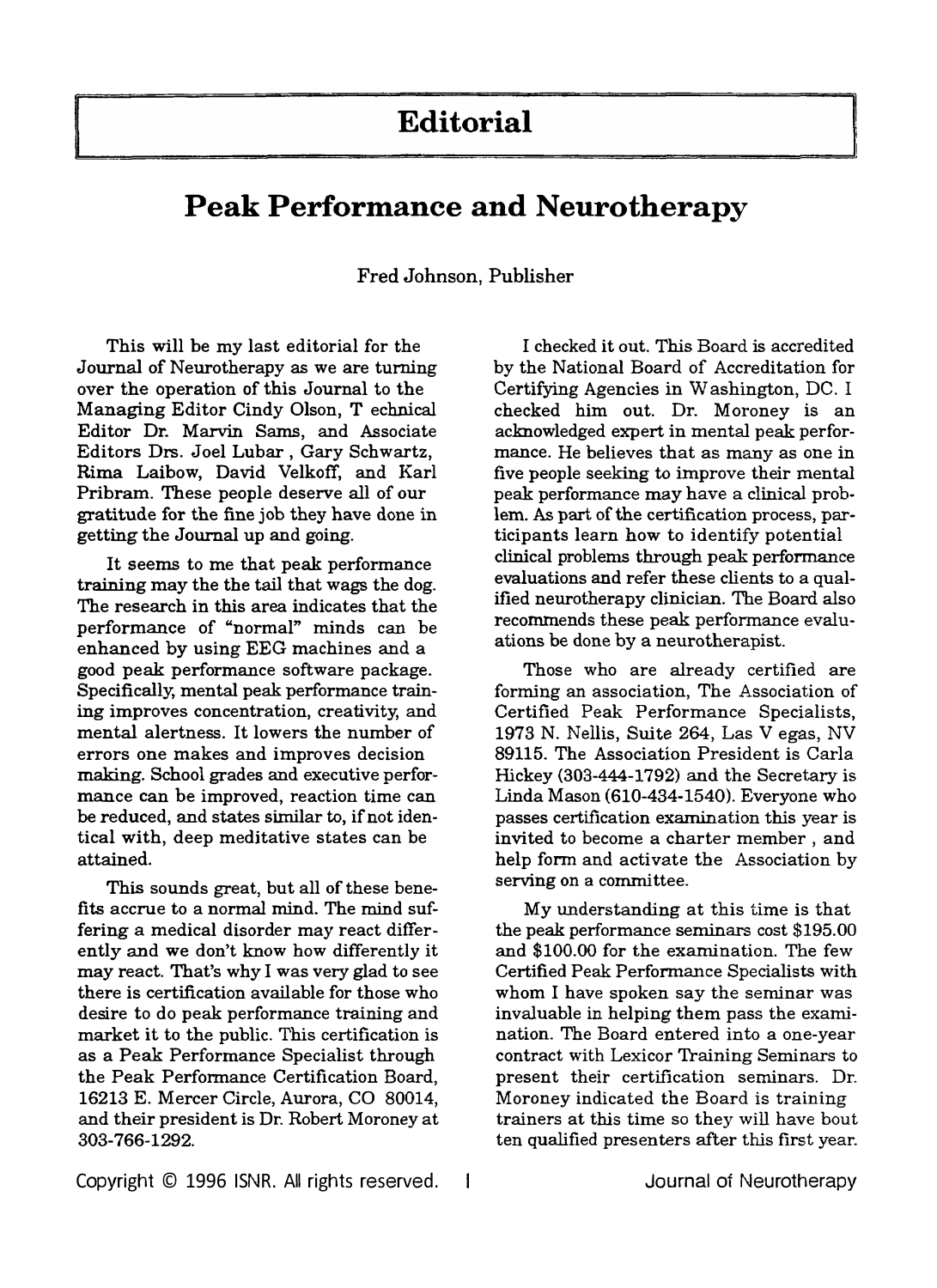# **Editorial**

## **Peak Performance and Neurotherapy**

**Fred Johnson, Publisher** 

This will be my last editorial for the Journal of Neurotherapy as we are turning over the operation of this Journal to the Managing Editor Cindy Olson, T echnical Editor Dr. Marvin Sams, and Associate Editors Drs. Joel Lubar, Gary Schwartz, Rima Laibow, David Velkoff, and Karl Pribram. These people deserve all of our gratitude for the fine job they have done in getting the Journal up and going.

It seems to me that peak performance training may the the tail that wags the dog. The research in this area indicates that the performance of "normal" minds can be enhanced by using EEG machines and a good peak performance software package. Specifically, mental peak performance training improves concentration, creativity, and mental alertness. It lowers the number of making. School grades and executive perforerrors one makes and improves decision mance can be improved, reaction time can be reduced, and states similar to, if not identical with, deep meditative states can be attained.

This sounds great, but all of these benefits accrue to a normal mind. The mind suffering a medical disorder may react differently and we don't know how differently it may react. That's why I was very glad to see there is certification available for those who desire to do peak performance training and market it to the public. This certification is as a Peak Performance Specialist through the Peak Performance Certification Board, 16213 E. Mercer Circle, Aurora, CO 80014, and their president is Dr. Robert Moroney at 303-766-1292.

I checked it out. This Board is accredited by the National Board of Accreditation for Certifying Agencies in Washington, DC. I checked him out. Dr. Moroney is an acknowledged expert in mental peak performance. He believes that as many as one in five people seeking to improve their mental peak performance may have a clinical problem. As part of the certification process, participants learn how to identify potential clinical problems through peak performance evaluations and refer these clients to a qualified neurotherapy clinician. The Board also recommends these peak performance evaluations be done by a neurotherapist.

Those who are already certified are forming an association, The Association of Certified Peak Performance Specialists, 1973 N. Nellis, Suite 264, Las V egas, NV 89115. The Association President is Carla Hickey (303-444-1792) and the Secretary is Linda Mason (610-434-1540). Everyone who passes certification examination this year is invited to become a charter member, and help form and activate the Association by serving on a committee.

My understanding at this time is that the peak performance seminars cost \$195.00 and \$100.00 for the examination. The few Certified Peak Performance Specialists with whom I have spoken say the seminar was invaluable in helping them pass the examination. The Board entered into a one-year contract with Lexicor Training Seminars to present their certification seminars. Dr. Moroney indicated the Board is training trainers at this time so they will have bout ten qualified presenters after this first year.